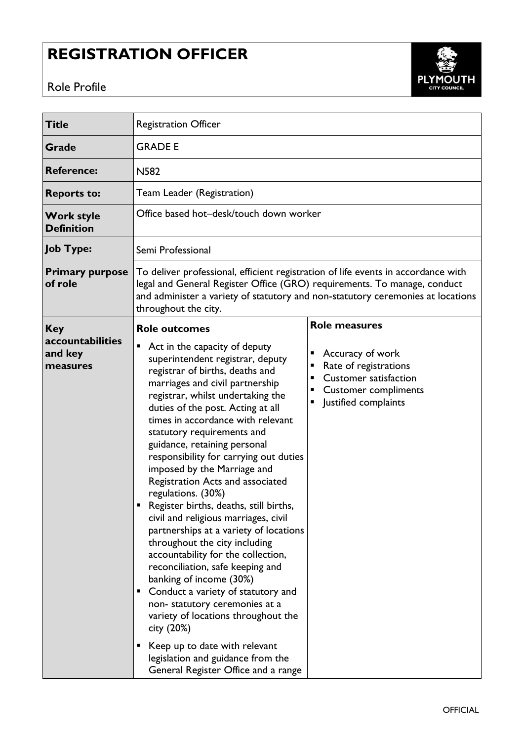## **REGISTRATION OFFICER**





| <b>Title</b>                            | <b>Registration Officer</b>                                                                                                                                                                                                                                                                                                                                                                                                                                                                                                                                                                                                                                                                                                                                                                                                                                                                                                                                                  |                                                                                                                                            |
|-----------------------------------------|------------------------------------------------------------------------------------------------------------------------------------------------------------------------------------------------------------------------------------------------------------------------------------------------------------------------------------------------------------------------------------------------------------------------------------------------------------------------------------------------------------------------------------------------------------------------------------------------------------------------------------------------------------------------------------------------------------------------------------------------------------------------------------------------------------------------------------------------------------------------------------------------------------------------------------------------------------------------------|--------------------------------------------------------------------------------------------------------------------------------------------|
| Grade                                   | <b>GRADE E</b>                                                                                                                                                                                                                                                                                                                                                                                                                                                                                                                                                                                                                                                                                                                                                                                                                                                                                                                                                               |                                                                                                                                            |
| <b>Reference:</b>                       | <b>N582</b>                                                                                                                                                                                                                                                                                                                                                                                                                                                                                                                                                                                                                                                                                                                                                                                                                                                                                                                                                                  |                                                                                                                                            |
| <b>Reports to:</b>                      | Team Leader (Registration)                                                                                                                                                                                                                                                                                                                                                                                                                                                                                                                                                                                                                                                                                                                                                                                                                                                                                                                                                   |                                                                                                                                            |
| <b>Work style</b><br><b>Definition</b>  | Office based hot-desk/touch down worker                                                                                                                                                                                                                                                                                                                                                                                                                                                                                                                                                                                                                                                                                                                                                                                                                                                                                                                                      |                                                                                                                                            |
| <b>Job Type:</b>                        | Semi Professional                                                                                                                                                                                                                                                                                                                                                                                                                                                                                                                                                                                                                                                                                                                                                                                                                                                                                                                                                            |                                                                                                                                            |
| <b>Primary purpose</b><br>of role       | To deliver professional, efficient registration of life events in accordance with<br>legal and General Register Office (GRO) requirements. To manage, conduct<br>and administer a variety of statutory and non-statutory ceremonies at locations<br>throughout the city.                                                                                                                                                                                                                                                                                                                                                                                                                                                                                                                                                                                                                                                                                                     |                                                                                                                                            |
| <b>Key</b>                              | <b>Role outcomes</b>                                                                                                                                                                                                                                                                                                                                                                                                                                                                                                                                                                                                                                                                                                                                                                                                                                                                                                                                                         | <b>Role measures</b>                                                                                                                       |
| accountabilities<br>and key<br>measures | ٠<br>Act in the capacity of deputy<br>superintendent registrar, deputy<br>registrar of births, deaths and<br>marriages and civil partnership<br>registrar, whilst undertaking the<br>duties of the post. Acting at all<br>times in accordance with relevant<br>statutory requirements and<br>guidance, retaining personal<br>responsibility for carrying out duties<br>imposed by the Marriage and<br>Registration Acts and associated<br>regulations. (30%)<br>Register births, deaths, still births,<br>civil and religious marriages, civil<br>partnerships at a variety of locations<br>throughout the city including<br>accountability for the collection,<br>reconciliation, safe keeping and<br>banking of income (30%)<br>Conduct a variety of statutory and<br>Ξ<br>non-statutory ceremonies at a<br>variety of locations throughout the<br>city (20%)<br>Keep up to date with relevant<br>legislation and guidance from the<br>General Register Office and a range | Accuracy of work<br>Rate of registrations<br>٠<br><b>Customer satisfaction</b><br>п<br><b>Customer compliments</b><br>Justified complaints |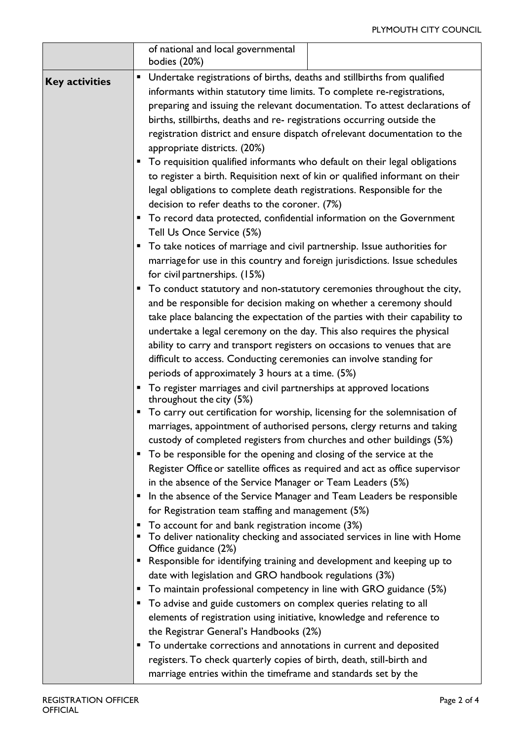## PLYMOUTH CITY COUNCIL

|                       | of national and local governmental<br>bodies (20%)                                                     |  |
|-----------------------|--------------------------------------------------------------------------------------------------------|--|
| <b>Key activities</b> | Undertake registrations of births, deaths and stillbirths from qualified<br>п                          |  |
|                       | informants within statutory time limits. To complete re-registrations,                                 |  |
|                       | preparing and issuing the relevant documentation. To attest declarations of                            |  |
|                       | births, stillbirths, deaths and re- registrations occurring outside the                                |  |
|                       | registration district and ensure dispatch of relevant documentation to the                             |  |
|                       | appropriate districts. (20%)                                                                           |  |
|                       | To requisition qualified informants who default on their legal obligations<br>п                        |  |
|                       | to register a birth. Requisition next of kin or qualified informant on their                           |  |
|                       | legal obligations to complete death registrations. Responsible for the                                 |  |
|                       | decision to refer deaths to the coroner. (7%)                                                          |  |
|                       | To record data protected, confidential information on the Government<br>٠                              |  |
|                       | Tell Us Once Service (5%)                                                                              |  |
|                       | To take notices of marriage and civil partnership. Issue authorities for<br>п                          |  |
|                       | marriage for use in this country and foreign jurisdictions. Issue schedules                            |  |
|                       | for civil partnerships. (15%)                                                                          |  |
|                       | To conduct statutory and non-statutory ceremonies throughout the city,<br>п                            |  |
|                       | and be responsible for decision making on whether a ceremony should                                    |  |
|                       | take place balancing the expectation of the parties with their capability to                           |  |
|                       | undertake a legal ceremony on the day. This also requires the physical                                 |  |
|                       | ability to carry and transport registers on occasions to venues that are                               |  |
|                       | difficult to access. Conducting ceremonies can involve standing for                                    |  |
|                       | periods of approximately 3 hours at a time. (5%)                                                       |  |
|                       | To register marriages and civil partnerships at approved locations<br>п                                |  |
|                       | throughout the city (5%)<br>To carry out certification for worship, licensing for the solemnisation of |  |
|                       | marriages, appointment of authorised persons, clergy returns and taking                                |  |
|                       | custody of completed registers from churches and other buildings (5%)                                  |  |
|                       | To be responsible for the opening and closing of the service at the<br>■                               |  |
|                       | Register Office or satellite offices as required and act as office supervisor                          |  |
|                       | in the absence of the Service Manager or Team Leaders (5%)                                             |  |
|                       | In the absence of the Service Manager and Team Leaders be responsible<br>п                             |  |
|                       | for Registration team staffing and management (5%)                                                     |  |
|                       | To account for and bank registration income (3%)<br>п                                                  |  |
|                       | To deliver nationality checking and associated services in line with Home<br>ш                         |  |
|                       | Office guidance (2%)                                                                                   |  |
|                       | Responsible for identifying training and development and keeping up to<br>■                            |  |
|                       | date with legislation and GRO handbook regulations (3%)                                                |  |
|                       | To maintain professional competency in line with GRO guidance (5%)<br>٠                                |  |
|                       | To advise and guide customers on complex queries relating to all<br>п                                  |  |
|                       | elements of registration using initiative, knowledge and reference to                                  |  |
|                       | the Registrar General's Handbooks (2%)<br>ш                                                            |  |
|                       | To undertake corrections and annotations in current and deposited                                      |  |
|                       | registers. To check quarterly copies of birth, death, still-birth and                                  |  |
|                       | marriage entries within the timeframe and standards set by the                                         |  |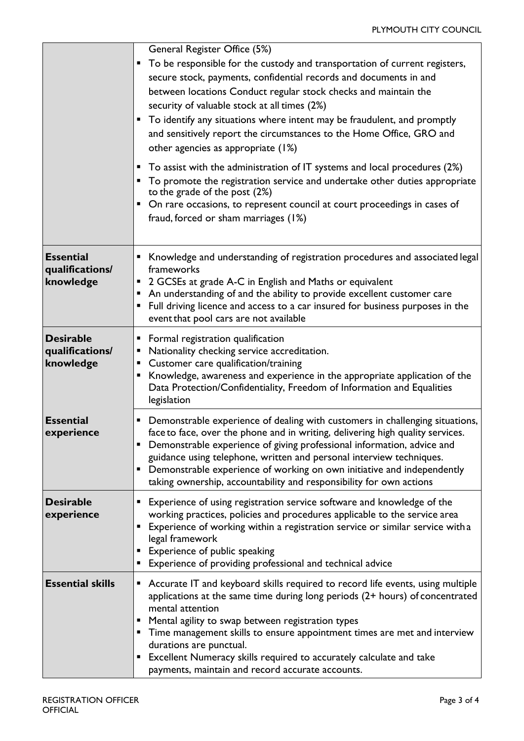|                                                  | General Register Office (5%)<br>To be responsible for the custody and transportation of current registers,<br>ш<br>secure stock, payments, confidential records and documents in and<br>between locations Conduct regular stock checks and maintain the<br>security of valuable stock at all times (2%)<br>To identify any situations where intent may be fraudulent, and promptly<br>٠<br>and sensitively report the circumstances to the Home Office, GRO and<br>other agencies as appropriate (1%)<br>To assist with the administration of IT systems and local procedures (2%)<br>п<br>To promote the registration service and undertake other duties appropriate<br>ш<br>to the grade of the post (2%)<br>On rare occasions, to represent council at court proceedings in cases of<br>fraud, forced or sham marriages (1%) |
|--------------------------------------------------|---------------------------------------------------------------------------------------------------------------------------------------------------------------------------------------------------------------------------------------------------------------------------------------------------------------------------------------------------------------------------------------------------------------------------------------------------------------------------------------------------------------------------------------------------------------------------------------------------------------------------------------------------------------------------------------------------------------------------------------------------------------------------------------------------------------------------------|
| <b>Essential</b><br>qualifications/<br>knowledge | Knowledge and understanding of registration procedures and associated legal<br>frameworks<br>2 GCSEs at grade A-C in English and Maths or equivalent<br>п<br>An understanding of and the ability to provide excellent customer care<br>п<br>Full driving licence and access to a car insured for business purposes in the<br>п<br>event that pool cars are not available                                                                                                                                                                                                                                                                                                                                                                                                                                                        |
| <b>Desirable</b><br>qualifications/<br>knowledge | Formal registration qualification<br>■<br>Nationality checking service accreditation.<br>п<br>Customer care qualification/training<br>■<br>Knowledge, awareness and experience in the appropriate application of the<br>п<br>Data Protection/Confidentiality, Freedom of Information and Equalities<br>legislation                                                                                                                                                                                                                                                                                                                                                                                                                                                                                                              |
| <b>Essential</b><br>experience                   | Demonstrable experience of dealing with customers in challenging situations,<br>п<br>face to face, over the phone and in writing, delivering high quality services.<br>Demonstrable experience of giving professional information, advice and<br>guidance using telephone, written and personal interview techniques.<br>Demonstrable experience of working on own initiative and independently<br>п<br>taking ownership, accountability and responsibility for own actions                                                                                                                                                                                                                                                                                                                                                     |
| <b>Desirable</b><br>experience                   | Experience of using registration service software and knowledge of the<br>■<br>working practices, policies and procedures applicable to the service area<br>Experience of working within a registration service or similar service with a<br>legal framework<br>Experience of public speaking<br>п<br>Experience of providing professional and technical advice                                                                                                                                                                                                                                                                                                                                                                                                                                                                 |
| <b>Essential skills</b>                          | Accurate IT and keyboard skills required to record life events, using multiple<br>п<br>applications at the same time during long periods (2+ hours) of concentrated<br>mental attention<br>Mental agility to swap between registration types<br>Time management skills to ensure appointment times are met and interview<br>п<br>durations are punctual.<br>Excellent Numeracy skills required to accurately calculate and take<br>٠<br>payments, maintain and record accurate accounts.                                                                                                                                                                                                                                                                                                                                        |